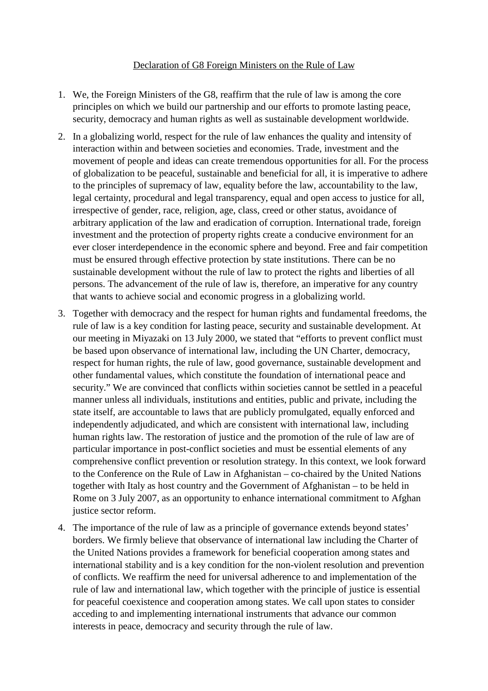## Declaration of G8 Foreign Ministers on the Rule of Law

- 1. We, the Foreign Ministers of the G8, reaffirm that the rule of law is among the core principles on which we build our partnership and our efforts to promote lasting peace, security, democracy and human rights as well as sustainable development worldwide.
- 2. In a globalizing world, respect for the rule of law enhances the quality and intensity of interaction within and between societies and economies. Trade, investment and the movement of people and ideas can create tremendous opportunities for all. For the process of globalization to be peaceful, sustainable and beneficial for all, it is imperative to adhere to the principles of supremacy of law, equality before the law, accountability to the law, legal certainty, procedural and legal transparency, equal and open access to justice for all, irrespective of gender, race, religion, age, class, creed or other status, avoidance of arbitrary application of the law and eradication of corruption. International trade, foreign investment and the protection of property rights create a conducive environment for an ever closer interdependence in the economic sphere and beyond. Free and fair competition must be ensured through effective protection by state institutions. There can be no sustainable development without the rule of law to protect the rights and liberties of all persons. The advancement of the rule of law is, therefore, an imperative for any country that wants to achieve social and economic progress in a globalizing world.
- 3. Together with democracy and the respect for human rights and fundamental freedoms, the rule of law is a key condition for lasting peace, security and sustainable development. At our meeting in Miyazaki on 13 July 2000, we stated that "efforts to prevent conflict must be based upon observance of international law, including the UN Charter, democracy, respect for human rights, the rule of law, good governance, sustainable development and other fundamental values, which constitute the foundation of international peace and security." We are convinced that conflicts within societies cannot be settled in a peaceful manner unless all individuals, institutions and entities, public and private, including the state itself, are accountable to laws that are publicly promulgated, equally enforced and independently adjudicated, and which are consistent with international law, including human rights law. The restoration of justice and the promotion of the rule of law are of particular importance in post-conflict societies and must be essential elements of any comprehensive conflict prevention or resolution strategy. In this context, we look forward to the Conference on the Rule of Law in Afghanistan – co-chaired by the United Nations together with Italy as host country and the Government of Afghanistan – to be held in Rome on 3 July 2007, as an opportunity to enhance international commitment to Afghan justice sector reform.
- 4. The importance of the rule of law as a principle of governance extends beyond states' borders. We firmly believe that observance of international law including the Charter of the United Nations provides a framework for beneficial cooperation among states and international stability and is a key condition for the non-violent resolution and prevention of conflicts. We reaffirm the need for universal adherence to and implementation of the rule of law and international law, which together with the principle of justice is essential for peaceful coexistence and cooperation among states. We call upon states to consider acceding to and implementing international instruments that advance our common interests in peace, democracy and security through the rule of law.